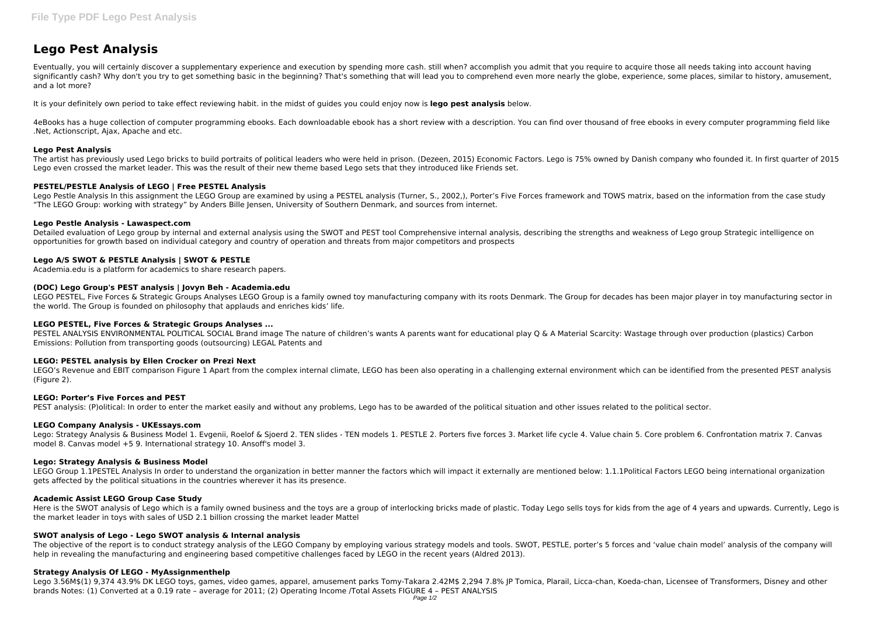# **Lego Pest Analysis**

Eventually, you will certainly discover a supplementary experience and execution by spending more cash. still when? accomplish you admit that you require to acquire those all needs taking into account having significantly cash? Why don't you try to get something basic in the beginning? That's something that will lead you to comprehend even more nearly the globe, experience, some places, similar to history, amusement, and a lot more?

It is your definitely own period to take effect reviewing habit. in the midst of guides you could enjoy now is **lego pest analysis** below.

4eBooks has a huge collection of computer programming ebooks. Each downloadable ebook has a short review with a description. You can find over thousand of free ebooks in every computer programming field like .Net, Actionscript, Ajax, Apache and etc.

# **Lego Pest Analysis**

Detailed evaluation of Lego group by internal and external analysis using the SWOT and PEST tool Comprehensive internal analysis, describing the strengths and weakness of Lego group Strategic intelligence on opportunities for growth based on individual category and country of operation and threats from major competitors and prospects

The artist has previously used Lego bricks to build portraits of political leaders who were held in prison. (Dezeen, 2015) Economic Factors. Lego is 75% owned by Danish company who founded it. In first quarter of 2015 Lego even crossed the market leader. This was the result of their new theme based Lego sets that they introduced like Friends set.

LEGO PESTEL, Five Forces & Strategic Groups Analyses LEGO Group is a family owned toy manufacturing company with its roots Denmark. The Group for decades has been major player in toy manufacturing sector in the world. The Group is founded on philosophy that applauds and enriches kids' life.

# **PESTEL/PESTLE Analysis of LEGO | Free PESTEL Analysis**

PESTEL ANALYSIS ENVIRONMENTAL POLITICAL SOCIAL Brand image The nature of children's wants A parents want for educational play Q & A Material Scarcity: Wastage through over production (plastics) Carbon Emissions: Pollution from transporting goods (outsourcing) LEGAL Patents and

Lego Pestle Analysis In this assignment the LEGO Group are examined by using a PESTEL analysis (Turner, S., 2002,), Porter's Five Forces framework and TOWS matrix, based on the information from the case study "The LEGO Group: working with strategy" by Anders Bille Jensen, University of Southern Denmark, and sources from internet.

# **Lego Pestle Analysis - Lawaspect.com**

Lego: Strategy Analysis & Business Model 1. Evgenii, Roelof & Sjoerd 2. TEN slides - TEN models 1. PESTLE 2. Porters five forces 3. Market life cycle 4. Value chain 5. Core problem 6. Confrontation matrix 7. Canvas model 8. Canvas model +5 9. International strategy 10. Ansoff's model 3.

LEGO Group 1.1PESTEL Analysis In order to understand the organization in better manner the factors which will impact it externally are mentioned below: 1.1.1Political Factors LEGO being international organization gets affected by the political situations in the countries wherever it has its presence.

# **Lego A/S SWOT & PESTLE Analysis | SWOT & PESTLE**

Academia.edu is a platform for academics to share research papers.

# **(DOC) Lego Group's PEST analysis | Jovyn Beh - Academia.edu**

Here is the SWOT analysis of Lego which is a family owned business and the toys are a group of interlocking bricks made of plastic. Today Lego sells toys for kids from the age of 4 years and upwards. Currently, Lego is the market leader in toys with sales of USD 2.1 billion crossing the market leader Mattel

The objective of the report is to conduct strategy analysis of the LEGO Company by employing various strategy models and tools. SWOT, PESTLE, porter's 5 forces and 'value chain model' analysis of the company will help in revealing the manufacturing and engineering based competitive challenges faced by LEGO in the recent years (Aldred 2013).

# **LEGO PESTEL, Five Forces & Strategic Groups Analyses ...**

## **LEGO: PESTEL analysis by Ellen Crocker on Prezi Next**

LEGO's Revenue and EBIT comparison Figure 1 Apart from the complex internal climate, LEGO has been also operating in a challenging external environment which can be identified from the presented PEST analysis (Figure 2).

## **LEGO: Porter's Five Forces and PEST**

PEST analysis: (P)olitical: In order to enter the market easily and without any problems, Lego has to be awarded of the political situation and other issues related to the political sector.

## **LEGO Company Analysis - UKEssays.com**

## **Lego: Strategy Analysis & Business Model**

## **Academic Assist LEGO Group Case Study**

# **SWOT analysis of Lego - Lego SWOT analysis & Internal analysis**

## **Strategy Analysis Of LEGO - MyAssignmenthelp**

Lego 3.56M\$(1) 9,374 43.9% DK LEGO toys, games, video games, apparel, amusement parks Tomy-Takara 2.42M\$ 2,294 7.8% JP Tomica, Plarail, Licca-chan, Koeda-chan, Licensee of Transformers, Disney and other brands Notes: (1) Converted at a 0.19 rate – average for 2011; (2) Operating Income /Total Assets FIGURE 4 – PEST ANALYSIS